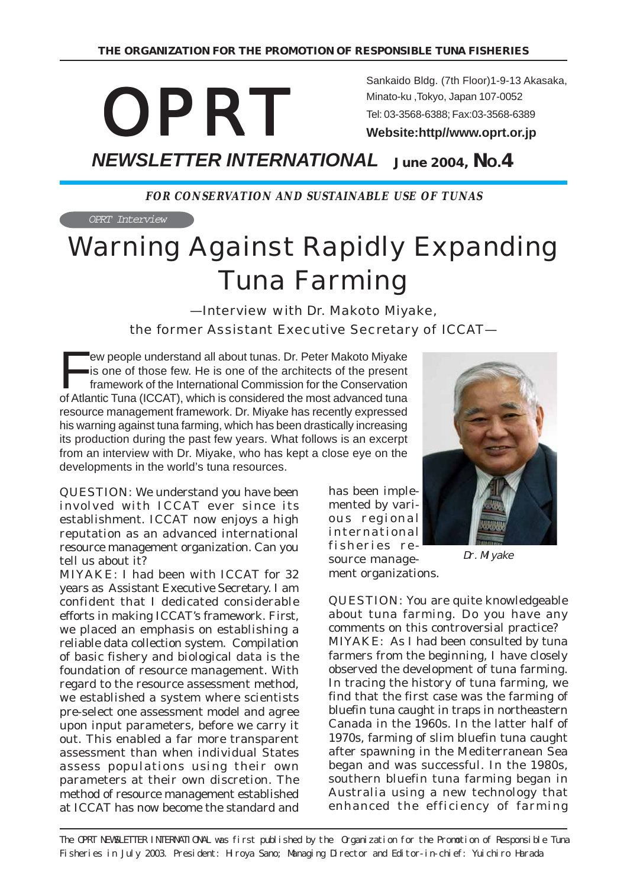# *OPRT*

Sankaido Bldg. (7th Floor)1-9-13 Akasaka, Minato-ku ,Tokyo, Japan 107-0052 Tel: 03-3568-6388; Fax:03-3568-6389

**Website:http//www.oprt.or.jp**

*NEWSLETTER INTERNATIONAL*  **June 2004, NO.4**

**FOR CONSERVATION AND SUSTAINABLE USE OF TUNAS**

OPRT Interview

# Warning Against Rapidly Expanding Tuna Farming

—Interview with Dr. Makoto Miyake, the former Assistant Executive Secretary of ICCAT—

EV people understand all about tunas. Dr. Peter Makoto Miyake<br>is one of those few. He is one of the architects of the present<br>framework of the International Commission for the Conservation<br>of Atlantic Tuna (ICCAT), which i is one of those few. He is one of the architects of the present framework of the International Commission for the Conservation of Atlantic Tuna (ICCAT), which is considered the most advanced tuna resource management framework. Dr. Miyake has recently expressed his warning against tuna farming, which has been drastically increasing its production during the past few years. What follows is an excerpt from an interview with Dr. Miyake, who has kept a close eye on the developments in the world's tuna resources.

QUESTION: We understand you have been involved with ICCAT ever since its establishment. ICCAT now enjoys a high reputation as an advanced international resource management organization. Can you tell us about it?

MIYAKE: I had been with ICCAT for 32 years as Assistant Executive Secretary. I am confident that I dedicated considerable efforts in making ICCAT's framework. First, we placed an emphasis on establishing a reliable data collection system. Compilation of basic fishery and biological data is the foundation of resource management. With regard to the resource assessment method, we established a system where scientists pre-select one assessment model and agree upon input parameters, before we carry it out. This enabled a far more transparent assessment than when individual States assess populations using their own parameters at their own discretion. The method of resource management established at ICCAT has now become the standard and

has been implemented by various regional international fisheries resource manage-

ment organizations.



Dr. Miyake

QUESTION: You are quite knowledgeable about tuna farming. Do you have any comments on this controversial practice? MIYAKE: As I had been consulted by tuna farmers from the beginning, I have closely observed the development of tuna farming. In tracing the history of tuna farming, we find that the first case was the farming of bluefin tuna caught in traps in northeastern Canada in the 1960s. In the latter half of 1970s, farming of slim bluefin tuna caught after spawning in the Mediterranean Sea began and was successful. In the 1980s, southern bluefin tuna farming began in Australia using a new technology that enhanced the efficiency of farming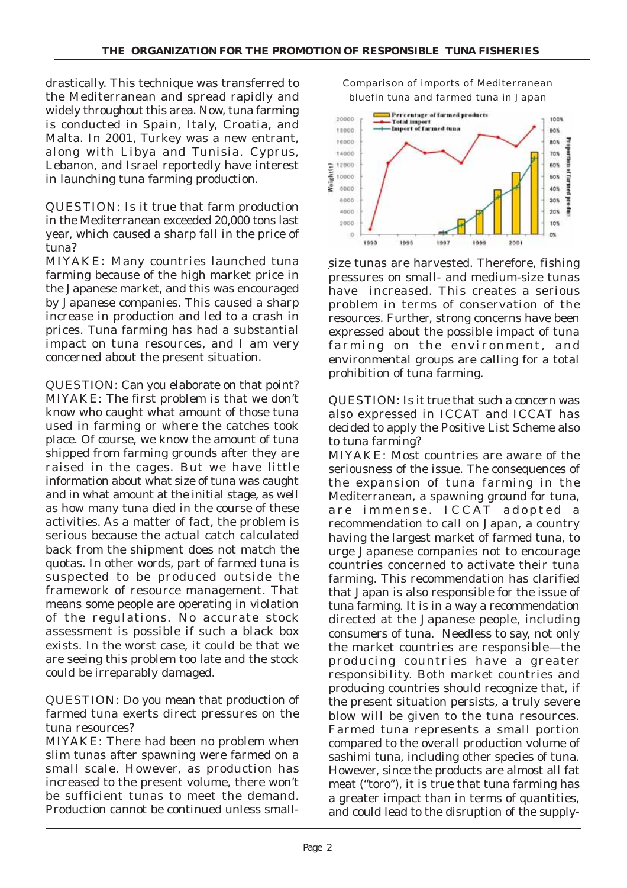drastically. This technique was transferred to the Mediterranean and spread rapidly and widely throughout this area. Now, tuna farming is conducted in Spain, Italy, Croatia, and Malta. In 2001, Turkey was a new entrant, along with Libya and Tunisia. Cyprus, Lebanon, and Israel reportedly have interest in launching tuna farming production.

QUESTION: Is it true that farm production in the Mediterranean exceeded 20,000 tons last year, which caused a sharp fall in the price of tuna?

MIYAKE: Many countries launched tuna farming because of the high market price in the Japanese market, and this was encouraged by Japanese companies. This caused a sharp increase in production and led to a crash in prices. Tuna farming has had a substantial impact on tuna resources, and I am very concerned about the present situation.

QUESTION: Can you elaborate on that point? MIYAKE: The first problem is that we don't know who caught what amount of those tuna used in farming or where the catches took place. Of course, we know the amount of tuna shipped from farming grounds after they are raised in the cages. But we have little information about what size of tuna was caught and in what amount at the initial stage, as well as how many tuna died in the course of these activities. As a matter of fact, the problem is serious because the actual catch calculated back from the shipment does not match the quotas. In other words, part of farmed tuna is suspected to be produced outside the framework of resource management. That means some people are operating in violation of the regulations. No accurate stock assessment is possible if such a black box exists. In the worst case, it could be that we are seeing this problem too late and the stock could be irreparably damaged.

QUESTION: Do you mean that production of farmed tuna exerts direct pressures on the tuna resources?

**MIYAKE:** There had been no problem when slim tunas after spawning were farmed on a small scale. However, as production has increased to the present volume, there won't be sufficient tunas to meet the demand. Production cannot be continued unless smallComparison of imports of Mediterranean bluefin tuna and farmed tuna in Japan



size tunas are harvested. Therefore, fishing pressures on small- and medium-size tunas have increased. This creates a serious problem in terms of conservation of the resources. Further, strong concerns have been expressed about the possible impact of tuna farming on the environment, and environmental groups are calling for a total prohibition of tuna farming.

QUESTION: Is it true that such a concern was also expressed in ICCAT and ICCAT has decided to apply the Positive List Scheme also to tuna farming?

MIYAKE: Most countries are aware of the seriousness of the issue. The consequences of the expansion of tuna farming in the Mediterranean, a spawning ground for tuna, are immense. ICCAT adopted a recommendation to call on Japan, a country having the largest market of farmed tuna, to urge Japanese companies not to encourage countries concerned to activate their tuna farming. This recommendation has clarified that Japan is also responsible for the issue of tuna farming. It is in a way a recommendation directed at the Japanese people, including consumers of tuna. Needless to say, not only the market countries are responsible—the producing countries have a greater responsibility. Both market countries and producing countries should recognize that, if the present situation persists, a truly severe blow will be given to the tuna resources. Farmed tuna represents a small portion compared to the overall production volume of sashimi tuna, including other species of tuna. However, since the products are almost all fat meat ("toro"), it is true that tuna farming has a greater impact than in terms of quantities, and could lead to the disruption of the supply-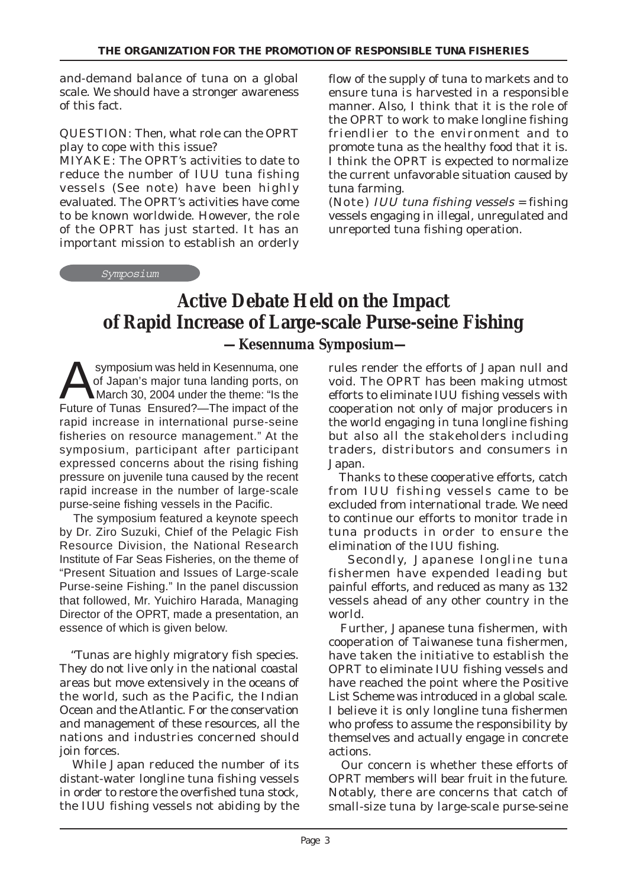and-demand balance of tuna on a global scale. We should have a stronger awareness of this fact.

QUESTION: Then, what role can the OPRT play to cope with this issue?

MIYAKE: The OPRT's activities to date to reduce the number of IUU tuna fishing vessels (See note) have been highly evaluated. The OPRT's activities have come to be known worldwide. However, the role of the OPRT has just started. It has an important mission to establish an orderly

Symposium

flow of the supply of tuna to markets and to ensure tuna is harvested in a responsible manner. Also, I think that it is the role of the OPRT to work to make longline fishing friendlier to the environment and to promote tuna as the healthy food that it is. I think the OPRT is expected to normalize the current unfavorable situation caused by tuna farming.

(Note) IUU tuna fishing vessels = fishing vessels engaging in illegal, unregulated and unreported tuna fishing operation.

## **Active Debate Held on the Impact of Rapid Increase of Large-scale Purse-seine Fishing —Kesennuma Symposium—**

Symposium was held in Kesennuma, one<br>of Japan's major tuna landing ports, on<br>March 30, 2004 under the theme: "Is the of Japan's major tuna landing ports, on March 30, 2004 under the theme: "Is the Future of Tunas Ensured?—The impact of the rapid increase in international purse-seine fisheries on resource management." At the symposium, participant after participant expressed concerns about the rising fishing pressure on juvenile tuna caused by the recent rapid increase in the number of large-scale purse-seine fishing vessels in the Pacific.

 The symposium featured a keynote speech by Dr. Ziro Suzuki, Chief of the Pelagic Fish Resource Division, the National Research Institute of Far Seas Fisheries, on the theme of "Present Situation and Issues of Large-scale Purse-seine Fishing." In the panel discussion that followed, Mr. Yuichiro Harada, Managing Director of the OPRT, made a presentation, an essence of which is given below.

 "Tunas are highly migratory fish species. They do not live only in the national coastal areas but move extensively in the oceans of the world, such as the Pacific, the Indian Ocean and the Atlantic. For the conservation and management of these resources, all the nations and industries concerned should join forces.

 While Japan reduced the number of its distant-water longline tuna fishing vessels in order to restore the overfished tuna stock, the IUU fishing vessels not abiding by the rules render the efforts of Japan null and void. The OPRT has been making utmost efforts to eliminate IUU fishing vessels with cooperation not only of major producers in the world engaging in tuna longline fishing but also all the stakeholders including traders, distributors and consumers in Japan.

 Thanks to these cooperative efforts, catch from IUU fishing vessels came to be excluded from international trade. We need to continue our efforts to monitor trade in tuna products in order to ensure the elimination of the IUU fishing.

 Secondly, Japanese longline tuna fishermen have expended leading but painful efforts, and reduced as many as 132 vessels ahead of any other country in the world.

 Further, Japanese tuna fishermen, with cooperation of Taiwanese tuna fishermen, have taken the initiative to establish the OPRT to eliminate IUU fishing vessels and have reached the point where the Positive List Scheme was introduced in a global scale. I believe it is only longline tuna fishermen who profess to assume the responsibility by themselves and actually engage in concrete actions.

 Our concern is whether these efforts of OPRT members will bear fruit in the future. Notably, there are concerns that catch of small-size tuna by large-scale purse-seine